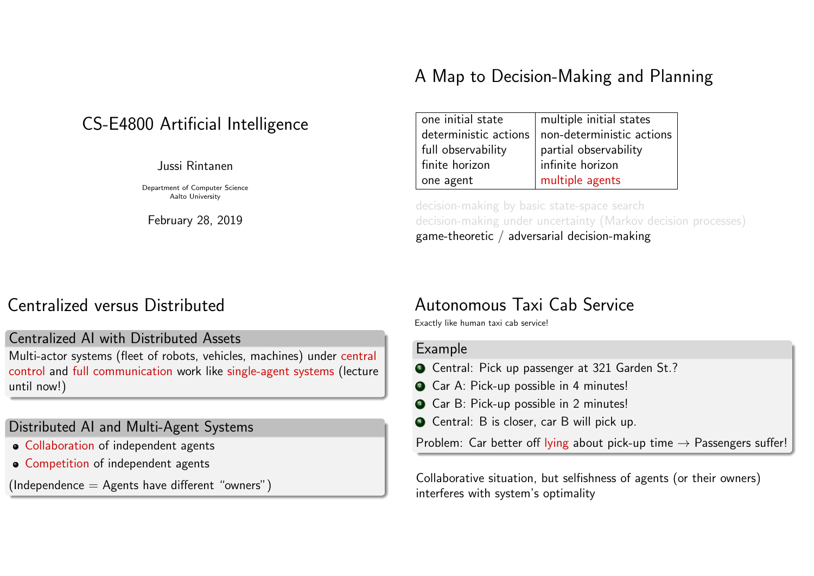#### CS-E4800 Artificial Intelligence

Jussi Rintanen

Department of Computer Science Aalto University

February 28, 2019

#### A Map to Decision-Making and Planning

| one initial state     | multiple initial states   |
|-----------------------|---------------------------|
| deterministic actions | non-deterministic actions |
| full observability    | partial observability     |
| finite horizon        | infinite horizon          |
| one agent             | multiple agents           |

decision-making by basic state-space search decision-making under uncertainty (Markov decision processes) game-theoretic / adversarial decision-making

#### Centralized versus Distributed

#### Centralized AI with Distributed Assets

Multi-actor systems (fleet of robots, vehicles, machines) under central control and full communication work like single-agent systems (lecture until now!)

#### Distributed AI and Multi-Agent Systems

- Collaboration of independent agents
- **Competition of independent agents**

 $(Independence = Agents have different "owners")$ 

#### Autonomous Taxi Cab Service

Exactly like human taxi cab service!

#### Example

- **1** Central: Pick up passenger at 321 Garden St.?
- <sup>2</sup> Car A: Pick-up possible in 4 minutes!
- **3** Car B: Pick-up possible in 2 minutes!
- <sup>4</sup> Central: B is closer, car B will pick up.

Problem: Car better off lying about pick-up time  $\rightarrow$  Passengers suffer!

Collaborative situation, but selfishness of agents (or their owners) interferes with system's optimality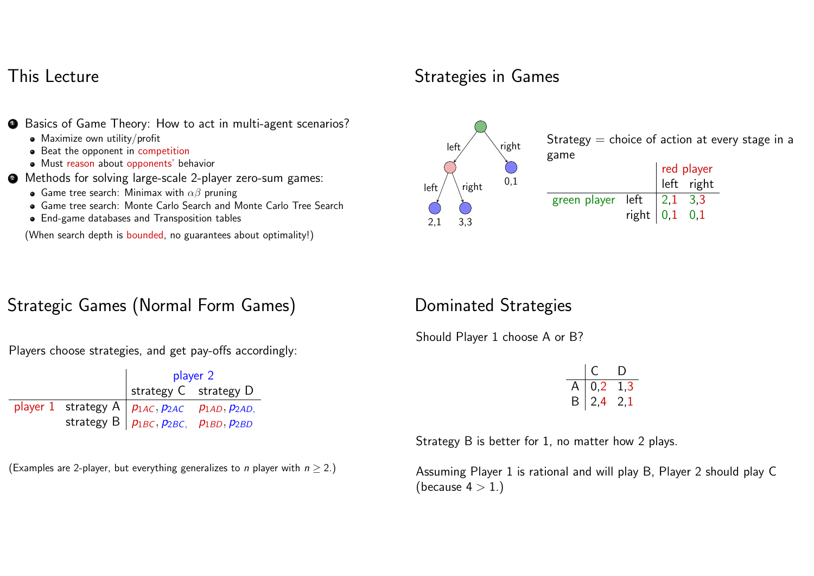#### This Lecture

- **•** Basics of Game Theory: How to act in multi-agent scenarios?
	- Maximize own utility/profit
	- Beat the opponent in competition
	- Must reason about opponents' behavior
- <sup>2</sup> Methods for solving large-scale 2-player zero-sum games:
	- **•** Game tree search: Minimax with  $\alpha\beta$  pruning
	- Game tree search: Monte Carlo Search and Monte Carlo Tree Search
	- End-game databases and Transposition tables

(When search depth is bounded, no guarantees about optimality!)

## Strategic Games (Normal Form Games)

Players choose strategies, and get pay-offs accordingly:

|  | player 2                                                    |  |  |
|--|-------------------------------------------------------------|--|--|
|  | strategy $C$ strategy $D$                                   |  |  |
|  | player 1 strategy A $ p_{1AC},p_{2AC}$ $p_{1AD},p_{2AD}$    |  |  |
|  | strategy B $\vert p_{1BC}, p_{2BC}, p_{1BD}, p_{2BD} \vert$ |  |  |

(Examples are 2-player, but everything generalizes to *n* player with  $n \ge 2$ .)

## Strategies in Games



Strategy  $=$  choice of action at every stage in a

|                                                                                                    |  | $\begin{array}{ c c }\n\hline\n\text{red player} \\ \text{left} & \text{right}\n\end{array}$ |
|----------------------------------------------------------------------------------------------------|--|----------------------------------------------------------------------------------------------|
|                                                                                                    |  |                                                                                              |
| green player left $\begin{array}{ l} 2,1 & 3,3 \\$ right $\begin{array}{ l} 0,1 & 0,1 \end{array}$ |  |                                                                                              |
|                                                                                                    |  |                                                                                              |

#### Dominated Strategies

Should Player 1 choose A or B?

|   | ſ.         | I)  |
|---|------------|-----|
| L | 0,2        | 1.3 |
| Β | $\mid$ 2,4 | 2.1 |

Strategy B is better for 1, no matter how 2 plays.

Assuming Player 1 is rational and will play B, Player 2 should play C (because  $4 > 1.$ )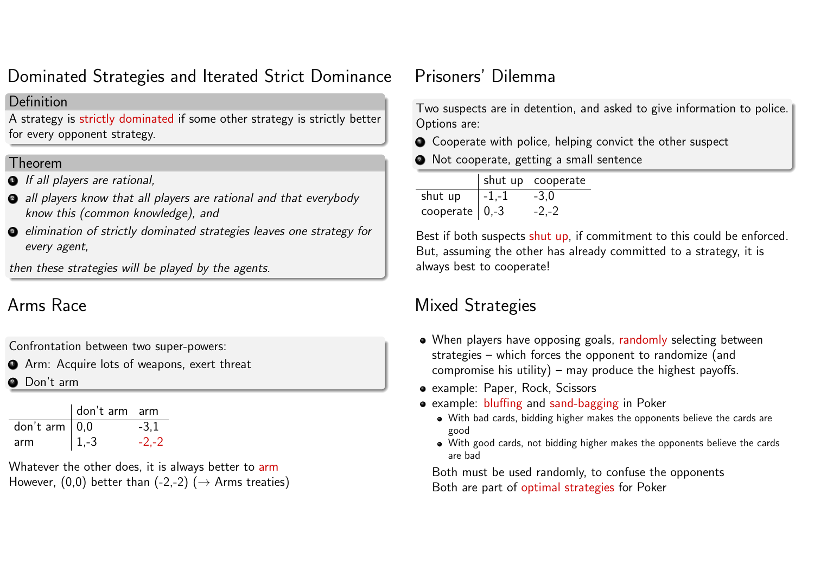#### Dominated Strategies and Iterated Strict Dominance

#### Definition

A strategy is strictly dominated if some other strategy is strictly better for every opponent strategy.

#### Theorem

- **1** If all players are rational,
- <sup>2</sup> all players know that all players are rational and that everybody know this (common knowledge), and
- <sup>3</sup> elimination of strictly dominated strategies leaves one strategy for every agent,

then these strategies will be played by the agents.

## Arms Race

Confrontation between two super-powers:

**4** Arm: Acquire lots of weapons, exert threat

**2** Don't arm

|                  | don't arm arm |          |
|------------------|---------------|----------|
| don't arm $ 0,0$ |               | $-3.1$   |
| arm              | $ 1,-3 $      | $-2. -2$ |

Whatever the other does, it is always better to arm However, (0,0) better than (-2,-2) ( $\rightarrow$  Arms treaties)

## Prisoners' Dilemma

Two suspects are in detention, and asked to give information to police. Options are:

- Cooperate with police, helping convict the other suspect
- <sup>2</sup> Not cooperate, getting a small sentence

|                    |           | shut up cooperate |
|--------------------|-----------|-------------------|
| shut up            | $ -1,-1 $ | $-3.0$            |
| cooperate $ 0,-3 $ |           | $-2,-2$           |

Best if both suspects shut up, if commitment to this could be enforced. But, assuming the other has already committed to a strategy, it is always best to cooperate!

## Mixed Strategies

- When players have opposing goals, randomly selecting between strategies – which forces the opponent to randomize (and compromise his utility) – may produce the highest payoffs.
- example: Paper, Rock, Scissors
- example: bluffing and sand-bagging in Poker
	- With bad cards, bidding higher makes the opponents believe the cards are good
	- With good cards, not bidding higher makes the opponents believe the cards are bad

Both must be used randomly, to confuse the opponents Both are part of optimal strategies for Poker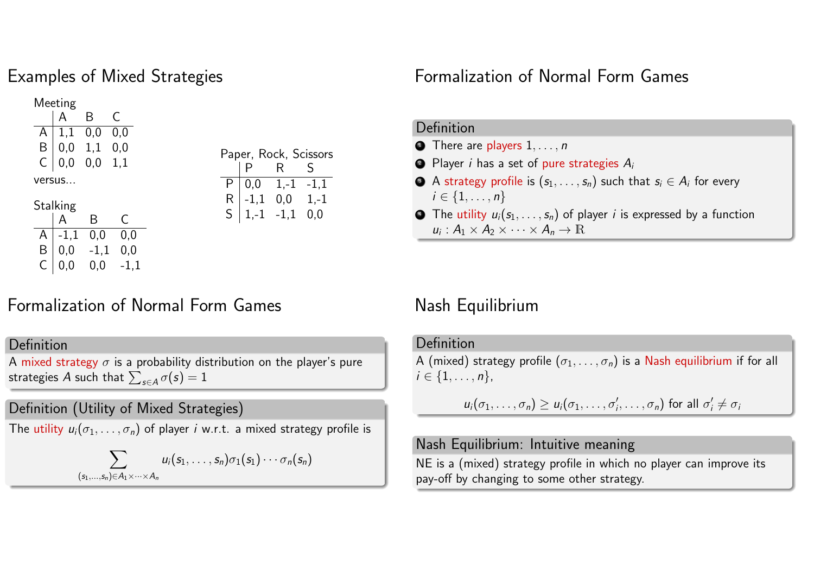#### Examples of Mixed Strategies

 $C | 0,0 0,0 -1,1$ 

 $(s_1, \ldots)$ 

Meeting A B C  $A \mid 1,1 \quad 0,0 \quad 0,0$  $B \mid 0.0 \quad 1.1 \quad 0.0$  $C | 0,0 0,0 1.1$ versus... **Stalking** B C  $A$  -1.1 0.0 0.0  $B | 0.0 -1.1 0.0$ Paper, Rock, Scissors P R S  $P$  0.0 1.-1 -1.1  $R$  -1,1 0,0 1,-1  $S \begin{bmatrix} 1, -1 \\ -1, 1 \\ 0, 0 \end{bmatrix}$ 

## Formalization of Normal Form Games

#### Definition

A mixed strategy  $\sigma$  is a probability distribution on the player's pure strategies A such that  $\sum_{s \in A} \sigma(s) = 1$ 

#### Definition (Utility of Mixed Strategies)

The utility  $u_i(\sigma_1,\ldots,\sigma_n)$  of player *i* w.r.t. a mixed strategy profile is

$$
\sum_{(s,n)\in A_1\times\cdots\times A_n} u_i(s_1,\ldots,s_n)\sigma_1(s_1)\cdots\sigma_n(s_n)
$$

#### Formalization of Normal Form Games

#### Definition

- $\bullet$  There are players  $1, \ldots, n$
- $\bullet$  Player *i* has a set of pure strategies  $A_i$
- $\bullet$  A strategy profile is  $(s_1, \ldots, s_n)$  such that  $s_i \in A_i$  for every  $i \in \{1, ..., n\}$
- $\bullet$  The utility  $u_i(s_1, \ldots, s_n)$  of player *i* is expressed by a function  $u_i: A_1 \times A_2 \times \cdots \times A_n \to \mathbb{R}$

#### Nash Equilibrium

#### Definition

A (mixed) strategy profile  $(\sigma_1, \ldots, \sigma_n)$  is a Nash equilibrium if for all  $i \in \{1, \ldots, n\},\$ 

$$
u_i(\sigma_1,\ldots,\sigma_n) \geq u_i(\sigma_1,\ldots,\sigma'_i,\ldots,\sigma_n)
$$
 for all  $\sigma'_i \neq \sigma_i$ 

#### Nash Equilibrium: Intuitive meaning

NE is a (mixed) strategy profile in which no player can improve its pay-off by changing to some other strategy.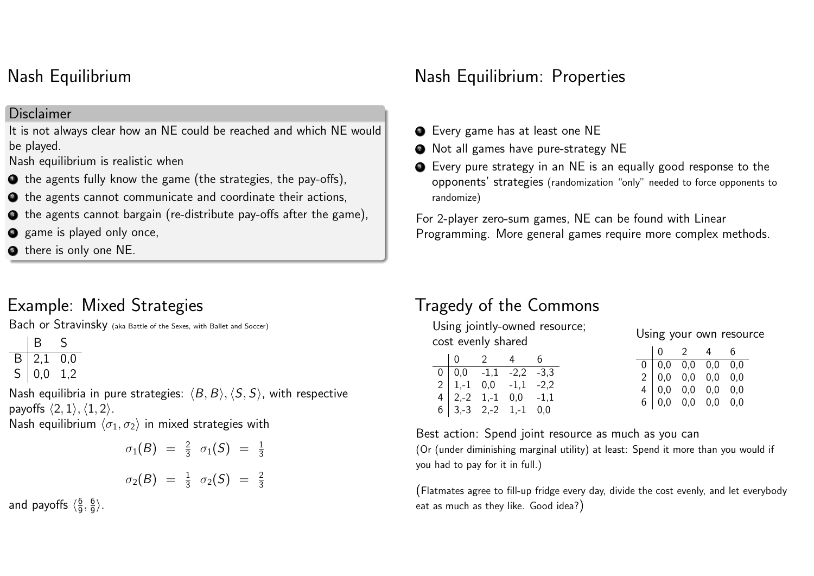#### Nash Equilibrium

#### **Disclaimer**

It is not always clear how an NE could be reached and which NE would be played.

Nash equilibrium is realistic when

- $\bullet$  the agents fully know the game (the strategies, the pay-offs),
- <sup>2</sup> the agents cannot communicate and coordinate their actions,
- $\bullet$  the agents cannot bargain (re-distribute pay-offs after the game),
- **4** game is played only once,
- **•** there is only one NE.

## Example: Mixed Strategies

Bach or Stravinsky (aka Battle of the Sexes, with Ballet and Soccer)

|   | B   | S   |
|---|-----|-----|
| B | 2,1 | 0,0 |
| S | 0,0 | 1.2 |

Nash equilibria in pure strategies:  $\langle B, B \rangle$ ,  $\langle S, S \rangle$ , with respective payoffs  $\langle 2, 1 \rangle$ ,  $\langle 1, 2 \rangle$ .

Nash equilibrium  $\langle \sigma_1, \sigma_2 \rangle$  in mixed strategies with

$$
\sigma_1(B) = \frac{2}{3} \sigma_1(S) = \frac{1}{3}
$$
  

$$
\sigma_2(B) = \frac{1}{3} \sigma_2(S) = \frac{2}{3}
$$

and payoffs  $\langle\frac{6}{9}\rangle$  $\frac{6}{9}, \frac{6}{9}$  $\frac{6}{9}$ .

#### Nash Equilibrium: Properties

- **•** Every game has at least one NE
- **2** Not all games have pure-strategy NE
- <sup>3</sup> Every pure strategy in an NE is an equally good response to the opponents' strategies (randomization "only" needed to force opponents to randomize)

For 2-player zero-sum games, NE can be found with Linear Programming. More general games require more complex methods.

## Tragedy of the Commons

Using jointly-owned resource; cost evenly shared

|                                                                                                                                                                | $\mathcal{P}$ | 4 | 6. |
|----------------------------------------------------------------------------------------------------------------------------------------------------------------|---------------|---|----|
|                                                                                                                                                                |               |   |    |
|                                                                                                                                                                |               |   |    |
|                                                                                                                                                                |               |   |    |
| $\begin{array}{cccc} 0 & 0,0 & -1,1 & -2,2 & -3,3 \\ 2 & 1,-1 & 0,0 & -1,1 & -2,2 \\ 4 & 2,-2 & 1,-1 & 0,0 & -1,1 \\ 6 & 3,-3 & 2,-2 & 1,-1 & 0,0 \end{array}$ |               |   |    |

#### Using your own resource

|  |                                                                                                                                                 | $\overline{\phantom{a}}$ 2 | $\overline{4}$ | 6.  |
|--|-------------------------------------------------------------------------------------------------------------------------------------------------|----------------------------|----------------|-----|
|  |                                                                                                                                                 |                            |                |     |
|  |                                                                                                                                                 |                            |                |     |
|  |                                                                                                                                                 |                            |                | 0,0 |
|  | $\begin{array}{cccc} 0 & 0,0 & 0,0 & 0,0 & 0,0 \ 2 & 0,0 & 0,0 & 0,0 & 0,0 \ 4 & 0,0 & 0,0 & 0,0 & 0,0 \ 6 & 0,0 & 0,0 & 0,0 & 0,0 \end{array}$ |                            |                |     |
|  |                                                                                                                                                 |                            |                |     |

Best action: Spend joint resource as much as you can

(Or (under diminishing marginal utility) at least: Spend it more than you would if you had to pay for it in full.)

(Flatmates agree to fill-up fridge every day, divide the cost evenly, and let everybody eat as much as they like. Good idea?)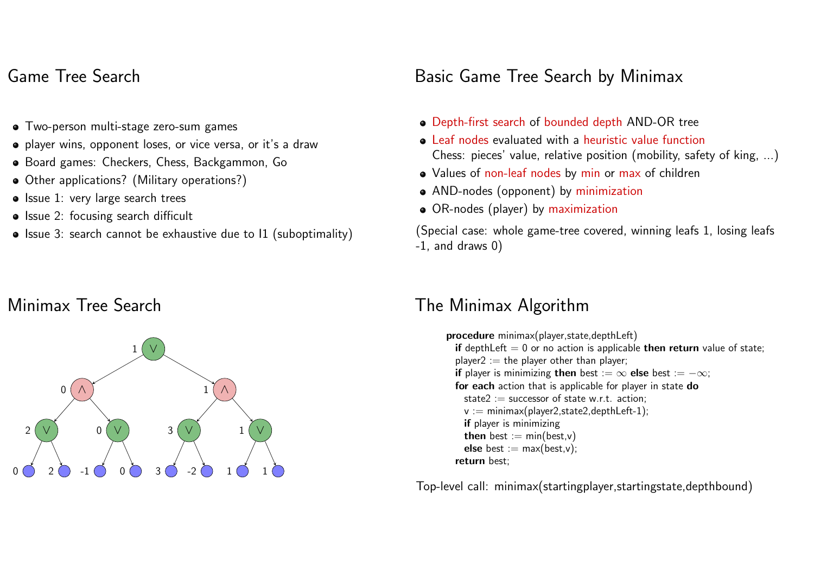#### Game Tree Search

- Two-person multi-stage zero-sum games
- player wins, opponent loses, or vice versa, or it's a draw
- Board games: Checkers, Chess, Backgammon, Go
- Other applications? (Military operations?)
- Issue 1: very large search trees
- Issue 2: focusing search difficult
- Issue 3: search cannot be exhaustive due to I1 (suboptimality)

## Minimax Tree Search



## Basic Game Tree Search by Minimax

- Depth-first search of bounded depth AND-OR tree
- Leaf nodes evaluated with a heuristic value function Chess: pieces' value, relative position (mobility, safety of king, ...)
- Values of non-leaf nodes by min or max of children
- AND-nodes (opponent) by minimization
- OR-nodes (player) by maximization

(Special case: whole game-tree covered, winning leafs 1, losing leafs -1, and draws 0)

#### The Minimax Algorithm

procedure minimax(player,state,depthLeft) if depthLeft  $= 0$  or no action is applicable then return value of state; player2 := the player other than player; if player is minimizing then best :=  $\infty$  else best :=  $-\infty$ ; for each action that is applicable for player in state do state2 := successor of state w.r.t. action;  $v := minimax(player2, state2, depthLeft-1);$ if player is minimizing then best  $:= min(best.v)$ else best  $:= \max(\text{best.v})$ ; return best;

Top-level call: minimax(startingplayer,startingstate,depthbound)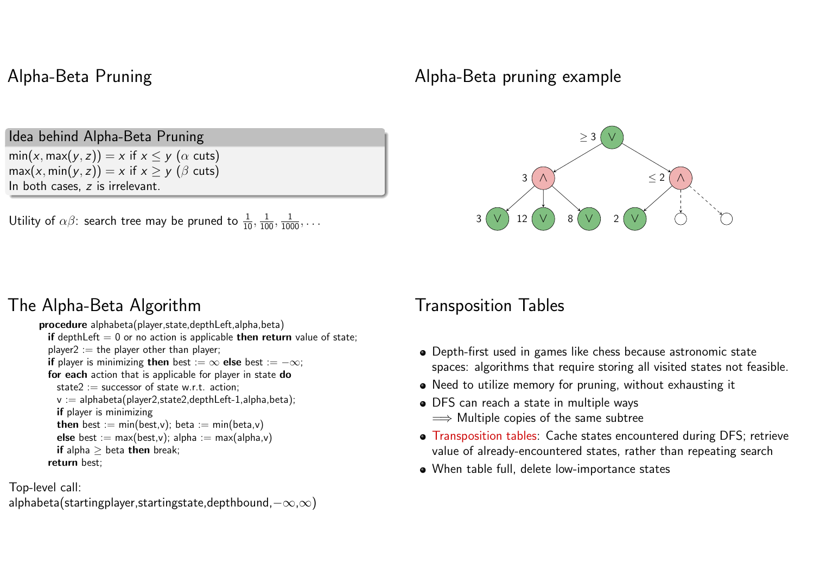#### Alpha-Beta Pruning

Idea behind Alpha-Beta Pruning

 $min(x, max(y, z)) = x$  if  $x \le y$  ( $\alpha$  cuts)  $max(x, min(y, z)) = x$  if  $x \ge y$  ( $\beta$  cuts) In both cases, z is irrelevant.

Utility of  $\alpha\beta$ : search tree may be pruned to  $\frac{1}{10}, \frac{1}{100}, \frac{1}{1000}, \dots$ 

#### The Alpha-Beta Algorithm

procedure alphabeta(player,state,depthLeft,alpha,beta) if depthLeft  $= 0$  or no action is applicable then return value of state; player2 := the player other than player; if player is minimizing then best :=  $\infty$  else best :=  $-\infty$ ; for each action that is applicable for player in state do state2 := successor of state w.r.t. action:  $v :=$  alphabeta(player2,state2,depthLeft-1,alpha,beta); if player is minimizing then best :=  $min(best,v)$ ; beta :=  $min(beta,v)$ **else** best := max(best,v); alpha := max(alpha,v) if alpha  $>$  beta then break; return best;

Top-level call:

alphabeta(startingplayer,startingstate,depthbound, $-\infty,\infty$ )

#### Alpha-Beta pruning example



#### Transposition Tables

- Depth-first used in games like chess because astronomic state spaces: algorithms that require storing all visited states not feasible.
- Need to utilize memory for pruning, without exhausting it
- DFS can reach a state in multiple ways  $\implies$  Multiple copies of the same subtree
- Transposition tables: Cache states encountered during DFS; retrieve value of already-encountered states, rather than repeating search
- When table full, delete low-importance states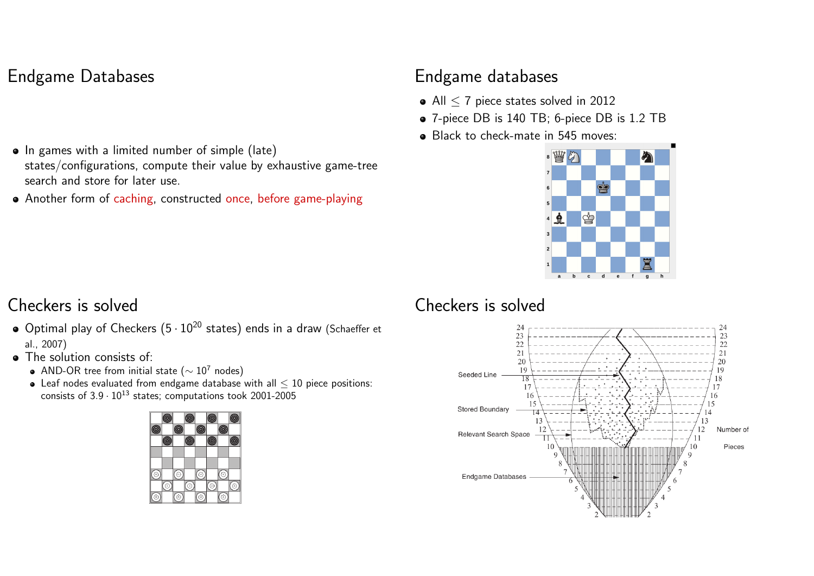### Endgame Databases

- In games with a limited number of simple (late) states/configurations, compute their value by exhaustive game-tree search and store for later use.
- Another form of caching, constructed once, before game-playing

#### Endgame databases

- All < 7 piece states solved in 2012
- 7-piece DB is 140 TB; 6-piece DB is 1.2 TB
- Black to check-mate in 545 moves:



#### Checkers is solved

- Optimal play of Checkers  $(5 \cdot 10^{20}$  states) ends in a draw (Schaeffer et al., 2007)
- The solution consists of:
	- AND-OR tree from initial state ( $\sim 10^7$  nodes)
	- $\bullet$  Leaf nodes evaluated from endgame database with all  $\leq$  10 piece positions: consists of  $3.9 \cdot 10^{13}$  states; computations took 2001-2005



#### Checkers is solved

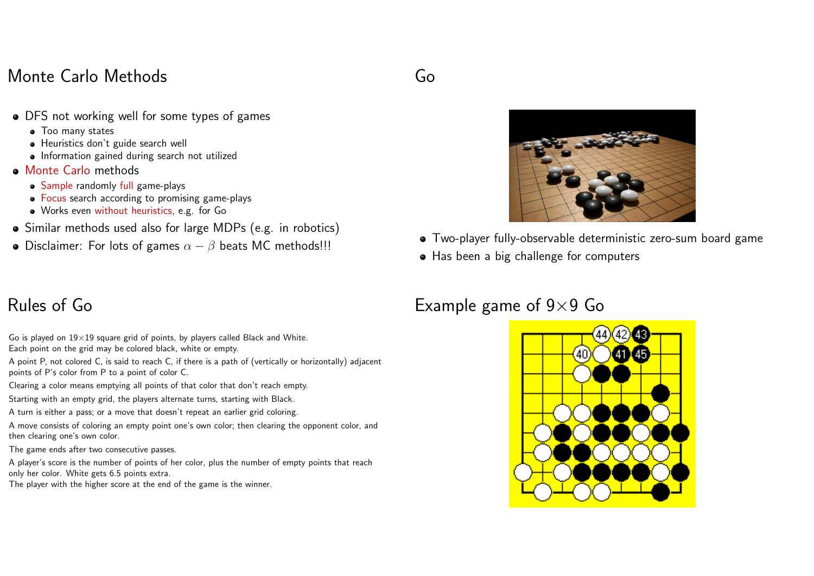#### Monte Carlo Methods

Go

- DFS not working well for some types of games
	- Too many states
	- Heuristics don't guide search well
	- Information gained during search not utilized
- Monte Carlo methods
	- Sample randomly full game-plays
	- Focus search according to promising game-plays
	- Works even without heuristics, e.g. for Go
- Similar methods used also for large MDPs (e.g. in robotics)
- Disclaimer: For lots of games  $\alpha \beta$  beats MC methods!!!



- Two-player fully-observable deterministic zero-sum board game
- Has been a big challenge for computers

#### Example game of  $9\times9$  Go



### Rules of Go

- Go is played on  $19\times19$  square grid of points, by players called Black and White. Each point on the grid may be colored black, white or empty.
- A point P, not colored C, is said to reach C, if there is a path of (vertically or horizontally) adjacent points of P's color from P to a point of color C.
- Clearing a color means emptying all points of that color that don't reach empty.
- Starting with an empty grid, the players alternate turns, starting with Black.
- A turn is either a pass; or a move that doesn't repeat an earlier grid coloring.
- A move consists of coloring an empty point one's own color; then clearing the opponent color, and then clearing one's own color.
- The game ends after two consecutive passes.
- A player's score is the number of points of her color, plus the number of empty points that reach only her color. White gets 6.5 points extra.
- The player with the higher score at the end of the game is the winner.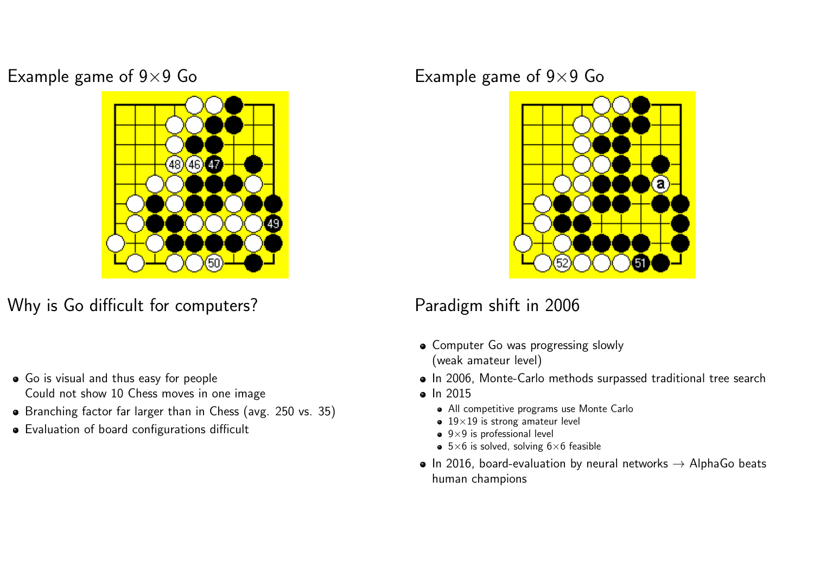Example game of  $9\times9$  Go Example game of  $9\times9$  Go



Why is Go difficult for computers?

- Go is visual and thus easy for people Could not show 10 Chess moves in one image
- Branching factor far larger than in Chess (avg. 250 vs. 35)
- Evaluation of board configurations difficult



### Paradigm shift in 2006

- Computer Go was progressing slowly (weak amateur level)
- In 2006, Monte-Carlo methods surpassed traditional tree search
- In 2015
	- All competitive programs use Monte Carlo
	- $\bullet$  19×19 is strong amateur level
	- $\bullet$  9×9 is professional level
	- $\bullet$  5×6 is solved, solving 6×6 feasible
- In 2016, board-evaluation by neural networks  $\rightarrow$  AlphaGo beats human champions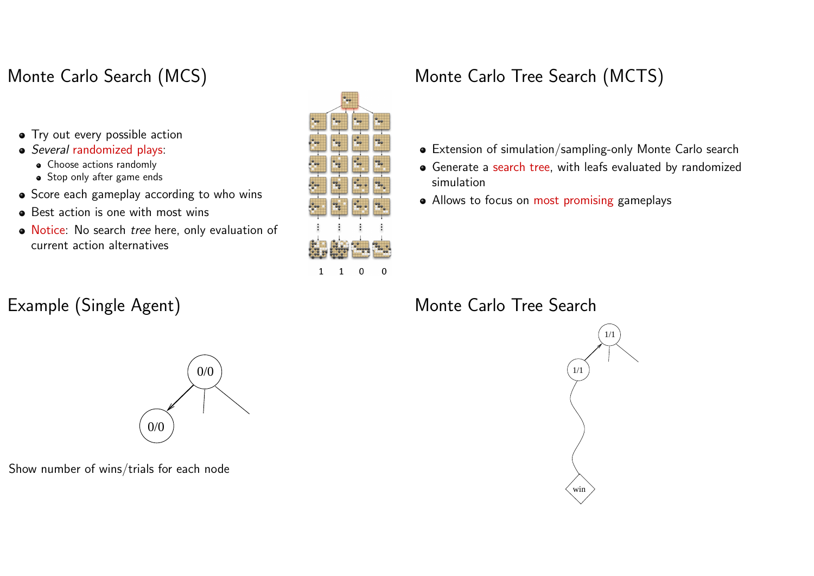## Monte Carlo Search (MCS)

- Try out every possible action
- Several randomized plays:
	- Choose actions randomly
	- Stop only after game ends
- Score each gameplay according to who wins
- Best action is one with most wins
- Notice: No search tree here, only evaluation of current action alternatives

### Example (Single Agent)



## Monte Carlo Tree Search (MCTS)

- Extension of simulation/sampling-only Monte Carlo search
- Generate a search tree, with leafs evaluated by randomized simulation
- Allows to focus on most promising gameplays

#### Monte Carlo Tree Search





Show number of wins/trials for each node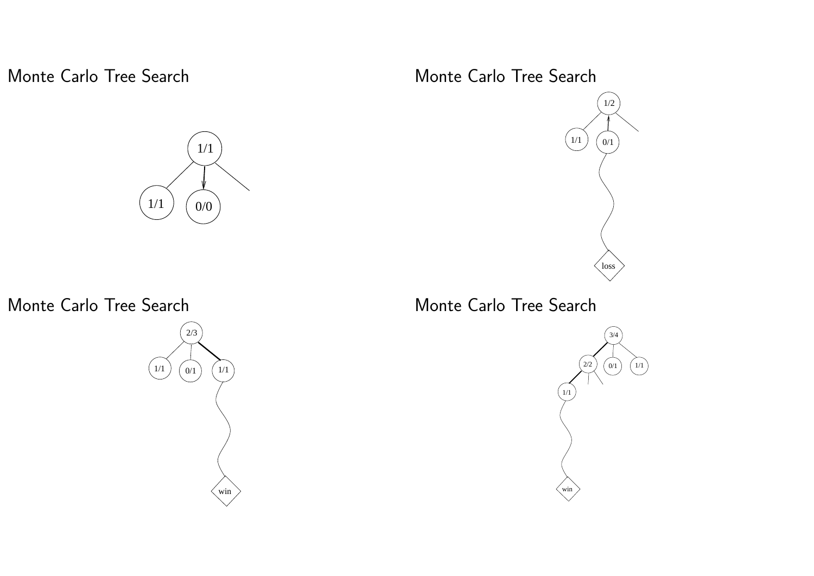Monte Carlo Tree Search

1/1 1/1 0/0

Monte Carlo Tree Search



# Monte Carlo Tree Search  $\left(\frac{1}{1}\right)$ loss  $0/1$ 1/2

n<br>2/3 Monte Carlo Tree Search